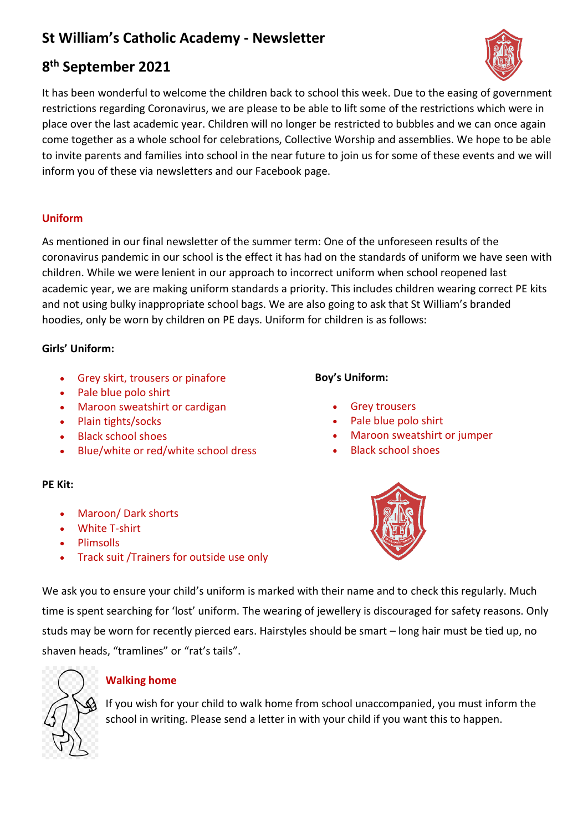# **St William's Catholic Academy - Newsletter**

# **8 th September 2021**

It has been wonderful to welcome the children back to school this week. Due to the easing of government restrictions regarding Coronavirus, we are please to be able to lift some of the restrictions which were in place over the last academic year. Children will no longer be restricted to bubbles and we can once again come together as a whole school for celebrations, Collective Worship and assemblies. We hope to be able to invite parents and families into school in the near future to join us for some of these events and we will inform you of these via newsletters and our Facebook page.

## **Uniform**

As mentioned in our final newsletter of the summer term: One of the unforeseen results of the coronavirus pandemic in our school is the effect it has had on the standards of uniform we have seen with children. While we were lenient in our approach to incorrect uniform when school reopened last academic year, we are making uniform standards a priority. This includes children wearing correct PE kits and not using bulky inappropriate school bags. We are also going to ask that St William's branded hoodies, only be worn by children on PE days. Uniform for children is as follows:

## **Girls' Uniform:**

- Grey skirt, trousers or pinafore
- Pale blue polo shirt
- Maroon sweatshirt or cardigan
- Plain tights/socks
- Black school shoes
- Blue/white or red/white school dress

## **PE Kit:**

- Maroon/ Dark shorts
- White T-shirt
- Plimsolls
- Track suit /Trainers for outside use only

## **Boy's Uniform:**

- **Grey trousers**
- Pale blue polo shirt
- Maroon sweatshirt or jumper
- Black school shoes



We ask you to ensure your child's uniform is marked with their name and to check this regularly. Much time is spent searching for 'lost' uniform. The wearing of jewellery is discouraged for safety reasons. Only studs may be worn for recently pierced ears. Hairstyles should be smart – long hair must be tied up, no shaven heads, "tramlines" or "rat's tails".



## **Walking home**

If you wish for your child to walk home from school unaccompanied, you must inform the school in writing. Please send a letter in with your child if you want this to happen.